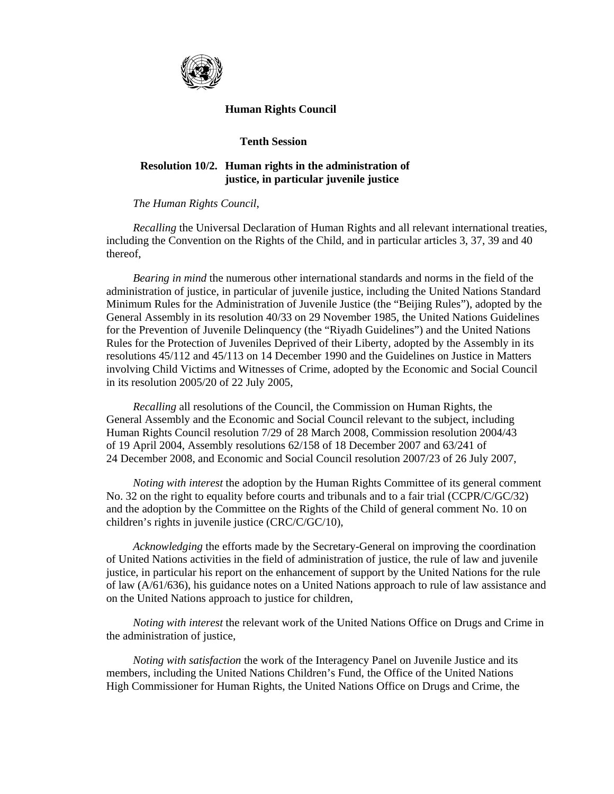

## **Human Rights Council**

## **Tenth Session**

## **Resolution 10/2. Human rights in the administration of justice, in particular juvenile justice**

 *The Human Rights Council*,

 *Recalling* the Universal Declaration of Human Rights and all relevant international treaties, including the Convention on the Rights of the Child, and in particular articles 3, 37, 39 and 40 thereof,

 *Bearing in mind* the numerous other international standards and norms in the field of the administration of justice, in particular of juvenile justice, including the United Nations Standard Minimum Rules for the Administration of Juvenile Justice (the "Beijing Rules"), adopted by the General Assembly in its resolution 40/33 on 29 November 1985, the United Nations Guidelines for the Prevention of Juvenile Delinquency (the "Riyadh Guidelines") and the United Nations Rules for the Protection of Juveniles Deprived of their Liberty, adopted by the Assembly in its resolutions 45/112 and 45/113 on 14 December 1990 and the Guidelines on Justice in Matters involving Child Victims and Witnesses of Crime, adopted by the Economic and Social Council in its resolution 2005/20 of 22 July 2005,

 *Recalling* all resolutions of the Council, the Commission on Human Rights, the General Assembly and the Economic and Social Council relevant to the subject, including Human Rights Council resolution 7/29 of 28 March 2008, Commission resolution 2004/43 of 19 April 2004, Assembly resolutions 62/158 of 18 December 2007 and 63/241 of 24 December 2008, and Economic and Social Council resolution 2007/23 of 26 July 2007,

*Noting with interest* the adoption by the Human Rights Committee of its general comment No. 32 on the right to equality before courts and tribunals and to a fair trial (CCPR/C/GC/32) and the adoption by the Committee on the Rights of the Child of general comment No. 10 on children's rights in juvenile justice (CRC/C/GC/10),

 *Acknowledging* the efforts made by the Secretary-General on improving the coordination of United Nations activities in the field of administration of justice, the rule of law and juvenile justice, in particular his report on the enhancement of support by the United Nations for the rule of law (A/61/636), his guidance notes on a United Nations approach to rule of law assistance and on the United Nations approach to justice for children,

*Noting with interest* the relevant work of the United Nations Office on Drugs and Crime in the administration of justice,

 *Noting with satisfaction* the work of the Interagency Panel on Juvenile Justice and its members, including the United Nations Children's Fund, the Office of the United Nations High Commissioner for Human Rights, the United Nations Office on Drugs and Crime, the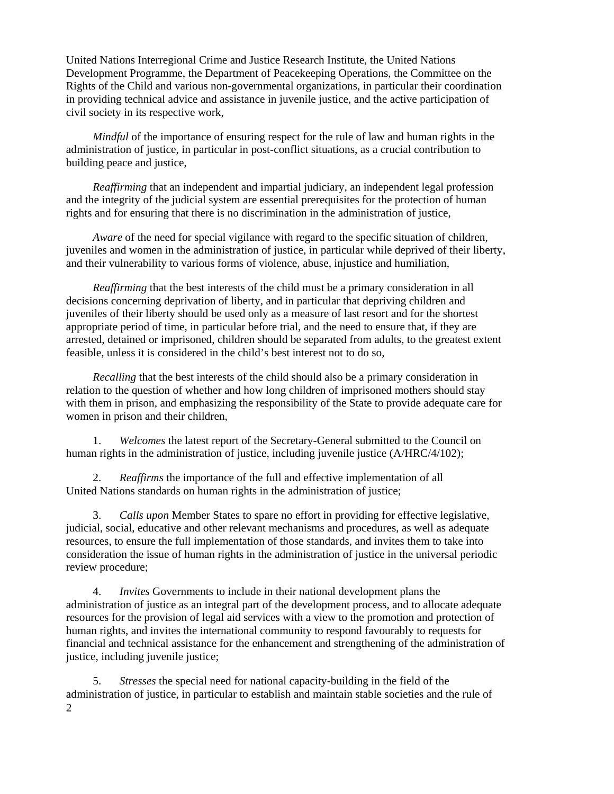United Nations Interregional Crime and Justice Research Institute, the United Nations Development Programme, the Department of Peacekeeping Operations, the Committee on the Rights of the Child and various non-governmental organizations, in particular their coordination in providing technical advice and assistance in juvenile justice, and the active participation of civil society in its respective work,

 *Mindful* of the importance of ensuring respect for the rule of law and human rights in the administration of justice, in particular in post-conflict situations, as a crucial contribution to building peace and justice,

 *Reaffirming* that an independent and impartial judiciary, an independent legal profession and the integrity of the judicial system are essential prerequisites for the protection of human rights and for ensuring that there is no discrimination in the administration of justice,

*Aware* of the need for special vigilance with regard to the specific situation of children, juveniles and women in the administration of justice, in particular while deprived of their liberty, and their vulnerability to various forms of violence, abuse, injustice and humiliation,

 *Reaffirming* that the best interests of the child must be a primary consideration in all decisions concerning deprivation of liberty, and in particular that depriving children and juveniles of their liberty should be used only as a measure of last resort and for the shortest appropriate period of time, in particular before trial, and the need to ensure that, if they are arrested, detained or imprisoned, children should be separated from adults, to the greatest extent feasible, unless it is considered in the child's best interest not to do so,

*Recalling* that the best interests of the child should also be a primary consideration in relation to the question of whether and how long children of imprisoned mothers should stay with them in prison, and emphasizing the responsibility of the State to provide adequate care for women in prison and their children,

 1. *Welcomes* the latest report of the Secretary-General submitted to the Council on human rights in the administration of justice, including juvenile justice (A/HRC/4/102);

 2. *Reaffirms* the importance of the full and effective implementation of all United Nations standards on human rights in the administration of justice;

 3. *Calls upon* Member States to spare no effort in providing for effective legislative, judicial, social, educative and other relevant mechanisms and procedures, as well as adequate resources, to ensure the full implementation of those standards, and invites them to take into consideration the issue of human rights in the administration of justice in the universal periodic review procedure;

 4. *Invites* Governments to include in their national development plans the administration of justice as an integral part of the development process, and to allocate adequate resources for the provision of legal aid services with a view to the promotion and protection of human rights, and invites the international community to respond favourably to requests for financial and technical assistance for the enhancement and strengthening of the administration of justice, including juvenile justice;

2 5. *Stresses* the special need for national capacity-building in the field of the administration of justice, in particular to establish and maintain stable societies and the rule of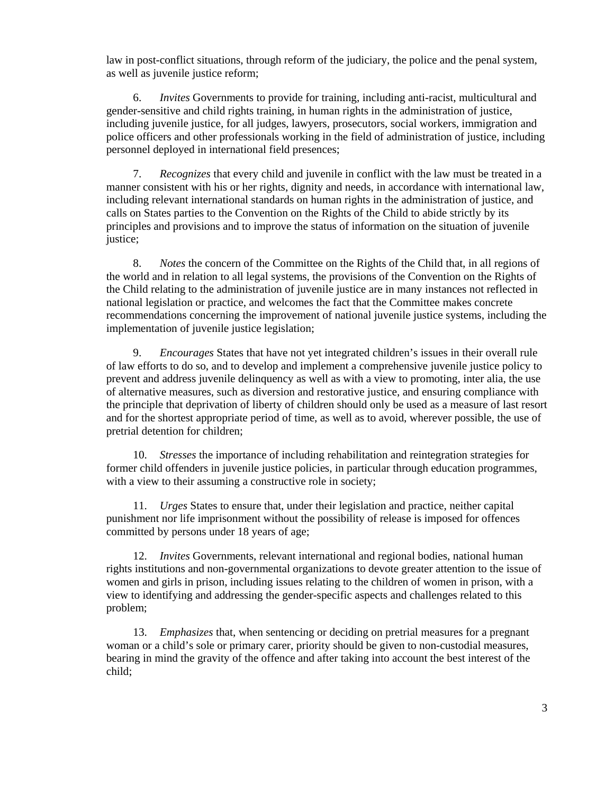law in post-conflict situations, through reform of the judiciary, the police and the penal system, as well as juvenile justice reform;

 6. *Invites* Governments to provide for training, including anti-racist, multicultural and gender-sensitive and child rights training, in human rights in the administration of justice, including juvenile justice, for all judges, lawyers, prosecutors, social workers, immigration and police officers and other professionals working in the field of administration of justice, including personnel deployed in international field presences;

 7. *Recognizes* that every child and juvenile in conflict with the law must be treated in a manner consistent with his or her rights, dignity and needs, in accordance with international law, including relevant international standards on human rights in the administration of justice, and calls on States parties to the Convention on the Rights of the Child to abide strictly by its principles and provisions and to improve the status of information on the situation of juvenile justice;

 8. *Notes* the concern of the Committee on the Rights of the Child that, in all regions of the world and in relation to all legal systems, the provisions of the Convention on the Rights of the Child relating to the administration of juvenile justice are in many instances not reflected in national legislation or practice, and welcomes the fact that the Committee makes concrete recommendations concerning the improvement of national juvenile justice systems, including the implementation of juvenile justice legislation;

 9. *Encourages* States that have not yet integrated children's issues in their overall rule of law efforts to do so, and to develop and implement a comprehensive juvenile justice policy to prevent and address juvenile delinquency as well as with a view to promoting, inter alia, the use of alternative measures, such as diversion and restorative justice, and ensuring compliance with the principle that deprivation of liberty of children should only be used as a measure of last resort and for the shortest appropriate period of time, as well as to avoid, wherever possible, the use of pretrial detention for children;

 10. *Stresses* the importance of including rehabilitation and reintegration strategies for former child offenders in juvenile justice policies, in particular through education programmes, with a view to their assuming a constructive role in society;

 11. *Urges* States to ensure that, under their legislation and practice, neither capital punishment nor life imprisonment without the possibility of release is imposed for offences committed by persons under 18 years of age;

 12. *Invites* Governments, relevant international and regional bodies, national human rights institutions and non-governmental organizations to devote greater attention to the issue of women and girls in prison, including issues relating to the children of women in prison, with a view to identifying and addressing the gender-specific aspects and challenges related to this problem;

 13. *Emphasizes* that, when sentencing or deciding on pretrial measures for a pregnant woman or a child's sole or primary carer, priority should be given to non-custodial measures, bearing in mind the gravity of the offence and after taking into account the best interest of the child;